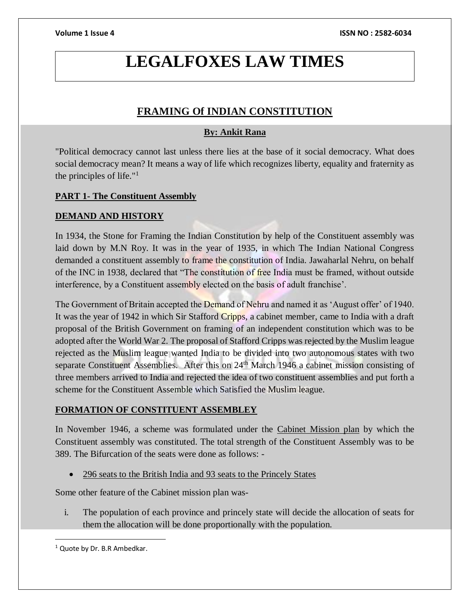# **LEGALFOXES LAW TIMES**

# **FRAMING Of INDIAN CONSTITUTION**

# **By: Ankit Rana**

"Political democracy cannot last unless there lies at the base of it social democracy. What does social democracy mean? It means a way of life which recognizes liberty, equality and fraternity as the principles of life." $1$ 

# **PART 1- The Constituent Assembly**

# **DEMAND AND HISTORY**

In 1934, the Stone for Framing the Indian Constitution by help of the Constituent assembly was laid down by M.N Roy. It was in the year of 1935, in which The Indian National Congress demanded a constituent assembly to frame the constitution of India. Jawaharlal Nehru, on behalf of the INC in 1938, declared that "The constitution of free India must be framed, without outside interference, by a Constituent assembly elected on the basis of adult franchise'.

The Government of Britain accepted the Demand of Nehru and named it as 'August offer' of 1940. It was the year of 1942 in which Sir Stafford Cripps, a cabinet member, came to India with a draft proposal of the British Government on framing of an independent constitution which was to be adopted after the World War 2. The proposal of Stafford Cripps was rejected by the Muslim league rejected as the Muslim league wanted India to be divided into two autonomous states with two separate Constituent Assemblies. After this on 24<sup>th</sup> March 1946 a cabinet mission consisting of three members arrived to India and rejected the idea of two constituent assemblies and put forth a scheme for the Constituent Assemble which Satisfied the Muslim league.

## **FORMATION OF CONSTITUENT ASSEMBLEY**

In November 1946, a scheme was formulated under the Cabinet Mission plan by which the Constituent assembly was constituted. The total strength of the Constituent Assembly was to be 389. The Bifurcation of the seats were done as follows: -

296 seats to the British India and 93 seats to the Princely States

Some other feature of the Cabinet mission plan was-

i. The population of each province and princely state will decide the allocation of seats for them the allocation will be done proportionally with the population.

 $\overline{a}$ 

<sup>&</sup>lt;sup>1</sup> Quote by Dr. B.R Ambedkar.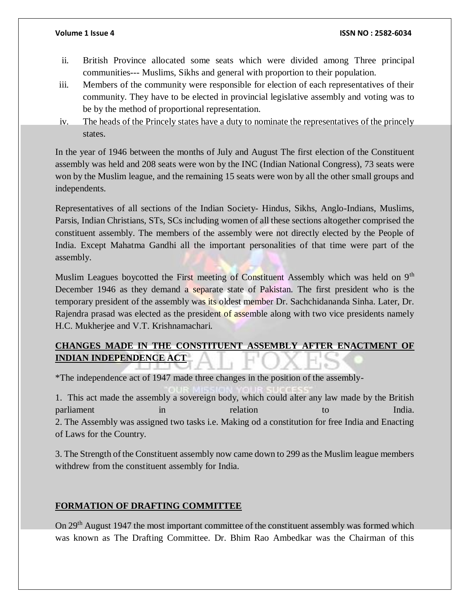- ii. British Province allocated some seats which were divided among Three principal communities--- Muslims, Sikhs and general with proportion to their population.
- iii. Members of the community were responsible for election of each representatives of their community. They have to be elected in provincial legislative assembly and voting was to be by the method of proportional representation.
- iv. The heads of the Princely states have a duty to nominate the representatives of the princely states.

In the year of 1946 between the months of July and August The first election of the Constituent assembly was held and 208 seats were won by the INC (Indian National Congress), 73 seats were won by the Muslim league, and the remaining 15 seats were won by all the other small groups and independents.

Representatives of all sections of the Indian Society- Hindus, Sikhs, Anglo-Indians, Muslims, Parsis, Indian Christians, STs, SCs including women of all these sections altogether comprised the constituent assembly. The members of the assembly were not directly elected by the People of India. Except Mahatma Gandhi all the important personalities of that time were part of the assembly.

Muslim Leagues boycotted the First meeting of Constituent Assembly which was held on 9<sup>th</sup> December 1946 as they demand a separate state of Pakistan. The first president who is the temporary president of the assembly was its oldest member Dr. Sachchidananda Sinha. Later, Dr. Rajendra prasad was elected as the president of assemble along with two vice presidents namely H.C. Mukherjee and V.T. Krishnamachari.

# **CHANGES MADE IN THE CONSTITUENT ASSEMBLY AFTER ENACTMENT OF INDIAN INDEPENDENCE ACT**

\*The independence act of 1947 made three changes in the position of the assembly-

1. This act made the assembly a sovereign body, which could alter any law made by the British parliament in the interval of the India. 2. The Assembly was assigned two tasks i.e. Making od a constitution for free India and Enacting of Laws for the Country.

3. The Strength of the Constituent assembly now came down to 299 as the Muslim league members withdrew from the constituent assembly for India.

# **FORMATION OF DRAFTING COMMITTEE**

On 29<sup>th</sup> August 1947 the most important committee of the constituent assembly was formed which was known as The Drafting Committee. Dr. Bhim Rao Ambedkar was the Chairman of this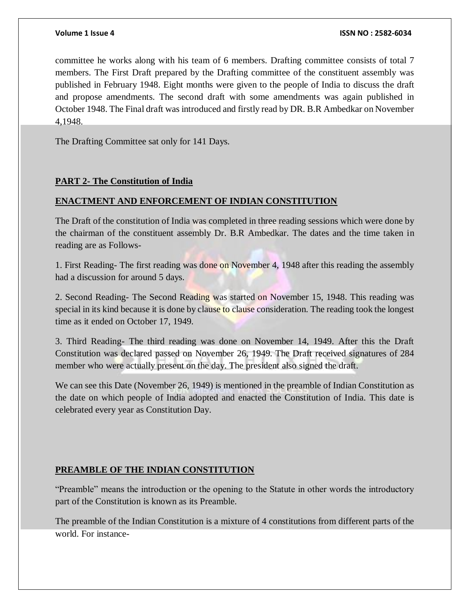committee he works along with his team of 6 members. Drafting committee consists of total 7 members. The First Draft prepared by the Drafting committee of the constituent assembly was published in February 1948. Eight months were given to the people of India to discuss the draft and propose amendments. The second draft with some amendments was again published in October 1948. The Final draft was introduced and firstly read by DR. B.R Ambedkar on November 4,1948.

The Drafting Committee sat only for 141 Days.

### **PART 2- The Constitution of India**

### **ENACTMENT AND ENFORCEMENT OF INDIAN CONSTITUTION**

The Draft of the constitution of India was completed in three reading sessions which were done by the chairman of the constituent assembly Dr. B.R Ambedkar. The dates and the time taken in reading are as Follows-

1. First Reading- The first reading was done on November 4, 1948 after this reading the assembly had a discussion for around 5 days.

2. Second Reading- The Second Reading was started on November 15, 1948. This reading was special in its kind because it is done by clause to clause consideration. The reading took the longest time as it ended on October 17, 1949.

3. Third Reading- The third reading was done on November 14, 1949. After this the Draft Constitution was declared passed on November 26, 1949. The Draft received signatures of 284 member who were actually present on the day. The president also signed the draft.

We can see this Date (November 26, 1949) is mentioned in the preamble of Indian Constitution as the date on which people of India adopted and enacted the Constitution of India. This date is celebrated every year as Constitution Day.

### **PREAMBLE OF THE INDIAN CONSTITUTION**

"Preamble" means the introduction or the opening to the Statute in other words the introductory part of the Constitution is known as its Preamble.

The preamble of the Indian Constitution is a mixture of 4 constitutions from different parts of the world. For instance-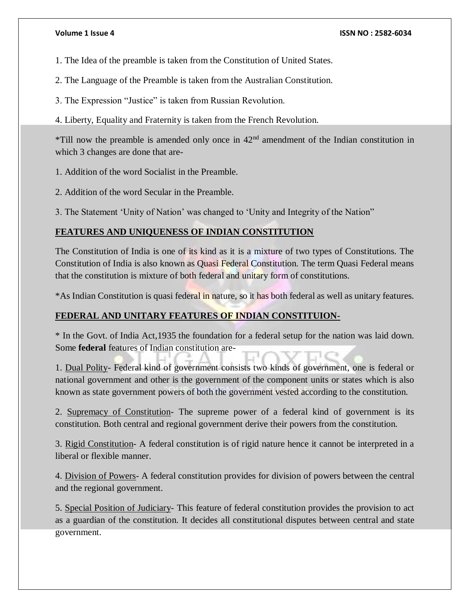- 1. The Idea of the preamble is taken from the Constitution of United States.
- 2. The Language of the Preamble is taken from the Australian Constitution.
- 3. The Expression "Justice" is taken from Russian Revolution.
- 4. Liberty, Equality and Fraternity is taken from the French Revolution.

 $*$ Till now the preamble is amended only once in  $42<sup>nd</sup>$  amendment of the Indian constitution in which 3 changes are done that are-

- 1. Addition of the word Socialist in the Preamble.
- 2. Addition of the word Secular in the Preamble.

3. The Statement 'Unity of Nation' was changed to 'Unity and Integrity of the Nation"

# **FEATURES AND UNIQUENESS OF INDIAN CONSTITUTION**

The Constitution of India is one of its kind as it is a mixture of two types of Constitutions. The Constitution of India is also known as Quasi Federal Constitution. The term Quasi Federal means that the constitution is mixture of both federal and unitary form of constitutions.

\*As Indian Constitution is quasi federal in nature, so it has both federal as well as unitary features.

## **FEDERAL AND UNITARY FEATURES OF INDIAN CONSTITUION-**

\* In the Govt. of India Act,1935 the foundation for a federal setup for the nation was laid down. Some **federal** features of Indian constitution are-

1. Dual Polity- Federal kind of government consists two kinds of government, one is federal or national government and other is the government of the component units or states which is also known as state government powers of both the government vested according to the constitution.

2. Supremacy of Constitution- The supreme power of a federal kind of government is its constitution. Both central and regional government derive their powers from the constitution.

3. Rigid Constitution- A federal constitution is of rigid nature hence it cannot be interpreted in a liberal or flexible manner.

4. Division of Powers- A federal constitution provides for division of powers between the central and the regional government.

5. Special Position of Judiciary- This feature of federal constitution provides the provision to act as a guardian of the constitution. It decides all constitutional disputes between central and state government.